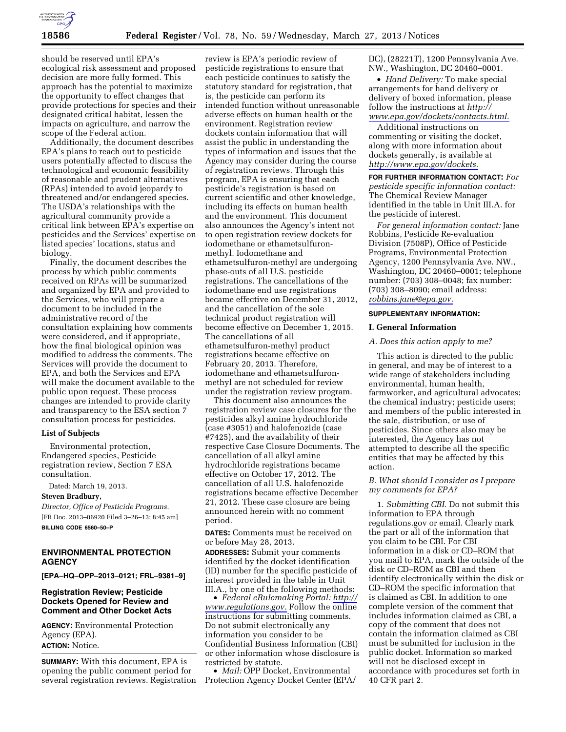

should be reserved until EPA's ecological risk assessment and proposed decision are more fully formed. This approach has the potential to maximize the opportunity to effect changes that provide protections for species and their designated critical habitat, lessen the impacts on agriculture, and narrow the scope of the Federal action.

Additionally, the document describes EPA's plans to reach out to pesticide users potentially affected to discuss the technological and economic feasibility of reasonable and prudent alternatives (RPAs) intended to avoid jeopardy to threatened and/or endangered species. The USDA's relationships with the agricultural community provide a critical link between EPA's expertise on pesticides and the Services' expertise on listed species' locations, status and biology.

Finally, the document describes the process by which public comments received on RPAs will be summarized and organized by EPA and provided to the Services, who will prepare a document to be included in the administrative record of the consultation explaining how comments were considered, and if appropriate, how the final biological opinion was modified to address the comments. The Services will provide the document to EPA, and both the Services and EPA will make the document available to the public upon request. These process changes are intended to provide clarity and transparency to the ESA section 7 consultation process for pesticides.

### **List of Subjects**

Environmental protection, Endangered species, Pesticide registration review, Section 7 ESA consultation.

Dated: March 19, 2013.

## **Steven Bradbury,**

*Director, Office of Pesticide Programs.*  [FR Doc. 2013–06920 Filed 3–26–13; 8:45 am] **BILLING CODE 6560–50–P** 

## **ENVIRONMENTAL PROTECTION AGENCY**

**[EPA–HQ–OPP–2013–0121; FRL–9381–9]** 

### **Registration Review; Pesticide Dockets Opened for Review and Comment and Other Docket Acts**

**AGENCY:** Environmental Protection Agency (EPA). **ACTION:** Notice.

**SUMMARY:** With this document, EPA is opening the public comment period for several registration reviews. Registration

review is EPA's periodic review of pesticide registrations to ensure that each pesticide continues to satisfy the statutory standard for registration, that is, the pesticide can perform its intended function without unreasonable adverse effects on human health or the environment. Registration review dockets contain information that will assist the public in understanding the types of information and issues that the Agency may consider during the course of registration reviews. Through this program, EPA is ensuring that each pesticide's registration is based on current scientific and other knowledge, including its effects on human health and the environment. This document also announces the Agency's intent not to open registration review dockets for iodomethane or ethametsulfuronmethyl. Iodomethane and ethametsulfuron-methyl are undergoing phase-outs of all U.S. pesticide registrations. The cancellations of the iodomethane end use registrations became effective on December 31, 2012, and the cancellation of the sole technical product registration will become effective on December 1, 2015. The cancellations of all ethametsulfuron-methyl product registrations became effective on February 20, 2013. Therefore, iodomethane and ethametsulfuronmethyl are not scheduled for review under the registration review program.

This document also announces the registration review case closures for the pesticides alkyl amine hydrochloride (case #3051) and halofenozide (case #7425), and the availability of their respective Case Closure Documents. The cancellation of all alkyl amine hydrochloride registrations became effective on October 17, 2012. The cancellation of all U.S. halofenozide registrations became effective December 21, 2012. These case closure are being announced herein with no comment period.

**DATES:** Comments must be received on or before May 28, 2013.

**ADDRESSES:** Submit your comments identified by the docket identification (ID) number for the specific pesticide of interest provided in the table in Unit III.A., by one of the following methods:

• *Federal eRulemaking Portal: [http://](http://www.regulations.gov)  [www.regulations.gov.](http://www.regulations.gov)* Follow the online instructions for submitting comments. Do not submit electronically any information you consider to be Confidential Business Information (CBI) or other information whose disclosure is restricted by statute.

• *Mail:* OPP Docket, Environmental Protection Agency Docket Center (EPA/ DC), (28221T), 1200 Pennsylvania Ave. NW., Washington, DC 20460–0001.

• *Hand Delivery:* To make special arrangements for hand delivery or delivery of boxed information, please follow the instructions at *[http://](http://www.epa.gov/dockets/contacts.html)  [www.epa.gov/dockets/contacts.html.](http://www.epa.gov/dockets/contacts.html)* 

Additional instructions on commenting or visiting the docket, along with more information about dockets generally, is available at *[http://www.epa.gov/dockets.](http://www.epa.gov/dockets)* 

**FOR FURTHER INFORMATION CONTACT:** *For pesticide specific information contact:*  The Chemical Review Manager identified in the table in Unit III.A. for the pesticide of interest.

*For general information contact:* Jane Robbins, Pesticide Re-evaluation Division (7508P), Office of Pesticide Programs, Environmental Protection Agency, 1200 Pennsylvania Ave. NW., Washington, DC 20460–0001; telephone number: (703) 308–0048; fax number: (703) 308–8090; email address: *[robbins.jane@epa.gov.](mailto:robbins.jane@epa.gov)* 

### **SUPPLEMENTARY INFORMATION:**

#### **I. General Information**

### *A. Does this action apply to me?*

This action is directed to the public in general, and may be of interest to a wide range of stakeholders including environmental, human health, farmworker, and agricultural advocates; the chemical industry; pesticide users; and members of the public interested in the sale, distribution, or use of pesticides. Since others also may be interested, the Agency has not attempted to describe all the specific entities that may be affected by this action.

### *B. What should I consider as I prepare my comments for EPA?*

1. *Submitting CBI.* Do not submit this information to EPA through regulations.gov or email. Clearly mark the part or all of the information that you claim to be CBI. For CBI information in a disk or CD–ROM that you mail to EPA, mark the outside of the disk or CD–ROM as CBI and then identify electronically within the disk or CD–ROM the specific information that is claimed as CBI. In addition to one complete version of the comment that includes information claimed as CBI, a copy of the comment that does not contain the information claimed as CBI must be submitted for inclusion in the public docket. Information so marked will not be disclosed except in accordance with procedures set forth in 40 CFR part 2.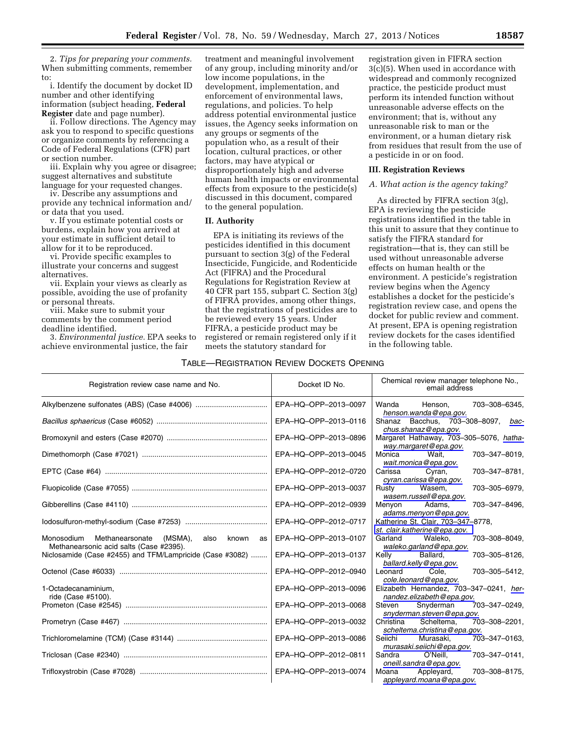2. *Tips for preparing your comments.*  When submitting comments, remember to:

i. Identify the document by docket ID number and other identifying information (subject heading, **Federal Register** date and page number).

ii. Follow directions. The Agency may ask you to respond to specific questions or organize comments by referencing a Code of Federal Regulations (CFR) part or section number.

iii. Explain why you agree or disagree; suggest alternatives and substitute language for your requested changes.

iv. Describe any assumptions and provide any technical information and/ or data that you used.

v. If you estimate potential costs or burdens, explain how you arrived at your estimate in sufficient detail to allow for it to be reproduced.

vi. Provide specific examples to illustrate your concerns and suggest alternatives.

vii. Explain your views as clearly as possible, avoiding the use of profanity or personal threats.

viii. Make sure to submit your comments by the comment period deadline identified.

3. *Environmental justice.* EPA seeks to achieve environmental justice, the fair

treatment and meaningful involvement of any group, including minority and/or low income populations, in the development, implementation, and enforcement of environmental laws, regulations, and policies. To help address potential environmental justice issues, the Agency seeks information on any groups or segments of the population who, as a result of their location, cultural practices, or other factors, may have atypical or disproportionately high and adverse human health impacts or environmental effects from exposure to the pesticide(s) discussed in this document, compared to the general population.

### **II. Authority**

EPA is initiating its reviews of the pesticides identified in this document pursuant to section 3(g) of the Federal Insecticide, Fungicide, and Rodenticide Act (FIFRA) and the Procedural Regulations for Registration Review at 40 CFR part 155, subpart C. Section 3(g) of FIFRA provides, among other things, that the registrations of pesticides are to be reviewed every 15 years. Under FIFRA, a pesticide product may be registered or remain registered only if it meets the statutory standard for

# TABLE—REGISTRATION REVIEW DOCKETS OPENING

registration given in FIFRA section 3(c)(5). When used in accordance with widespread and commonly recognized practice, the pesticide product must perform its intended function without unreasonable adverse effects on the environment; that is, without any unreasonable risk to man or the environment, or a human dietary risk from residues that result from the use of a pesticide in or on food.

### **III. Registration Reviews**

### *A. What action is the agency taking?*

As directed by FIFRA section 3(g), EPA is reviewing the pesticide registrations identified in the table in this unit to assure that they continue to satisfy the FIFRA standard for registration—that is, they can still be used without unreasonable adverse effects on human health or the environment. A pesticide's registration review begins when the Agency establishes a docket for the pesticide's registration review case, and opens the docket for public review and comment. At present, EPA is opening registration review dockets for the cases identified in the following table.

| Registration review case name and No.                                                                | Docket ID No.        | Chemical review manager telephone No.,<br>email address                  |
|------------------------------------------------------------------------------------------------------|----------------------|--------------------------------------------------------------------------|
|                                                                                                      | EPA-HQ-OPP-2013-0097 | 703-308-6345,<br>Wanda Henson.<br>henson.wanda@epa.gov.                  |
|                                                                                                      | EPA-HQ-OPP-2013-0116 | Shanaz Bacchus, 703-308-8097, bac-<br>chus.shanaz@epa.gov.               |
|                                                                                                      | EPA-HQ-OPP-2013-0896 | Margaret Hathaway, 703-305-5076, hatha-<br>way.margaret@epa.gov.         |
|                                                                                                      | EPA-HQ-OPP-2013-0045 | 703-347-8019,<br>Monica<br>Wait.<br>wait.monica@epa.gov.                 |
|                                                                                                      | EPA-HQ-OPP-2012-0720 | 703-347-8781,<br>Carissa<br>Cyran,<br>cyran.carissa@epa.gov.             |
|                                                                                                      | EPA-HQ-OPP-2013-0037 | 703-305-6979,<br>Rusty<br>Wasem,<br>wasem.russell@epa.gov.               |
|                                                                                                      | EPA-HQ-OPP-2012-0939 | 703-347-8496,<br>Menyon<br>Adams.<br>adams.menyon@epa.gov.               |
|                                                                                                      | EPA-HQ-OPP-2012-0717 | Katherine St. Clair, 703-347-8778,<br>st. clair.katherine@epa.gov.       |
| Monosodium Methanearsonate (MSMA),<br>known<br>also<br>as<br>Methanearsonic acid salts (Case #2395). | EPA-HQ-OPP-2013-0107 | Garland<br>Waleko.<br>703-308-8049,<br>waleko.garland@epa.gov.           |
| Niclosamide (Case #2455) and TFM/Lampricide (Case #3082)                                             | EPA-HQ-OPP-2013-0137 | 703-305-8126,<br>Kelly<br>Ballard,<br>ballard.kelly@epa.gov.             |
|                                                                                                      | EPA-HQ-OPP-2012-0940 | 703-305-5412,<br>Cole.<br>Leonard<br>cole.leonard@epa.gov.               |
| 1-Octadecanaminium,<br>ride (Case #5100).                                                            | EPA-HQ-OPP-2013-0096 | Elizabeth Hernandez, 703-347-0241, her-<br>nandez.elizabeth@epa.gov.     |
|                                                                                                      | EPA-HQ-OPP-2013-0068 | Steven<br>Snyderman<br>703-347-0249,<br>snyderman.steven@epa.gov.        |
|                                                                                                      | EPA-HQ-OPP-2013-0032 | Scheltema,<br>703-308-2201,<br>Christina<br>scheltema.christina@epa.gov. |
|                                                                                                      | EPA-HQ-OPP-2013-0086 | 703-347-0163,<br>Seiichi<br>Murasaki.<br>murasaki.seiichi@epa.gov.       |
|                                                                                                      | EPA-HQ-OPP-2012-0811 | 703-347-0141,<br>Sandra O'Neill.<br>oneill.sandra@epa.gov.               |
|                                                                                                      | EPA-HQ-OPP-2013-0074 | 703-308-8175,<br>Moana<br>Appleyard,<br>appleyard.moana@epa.gov.         |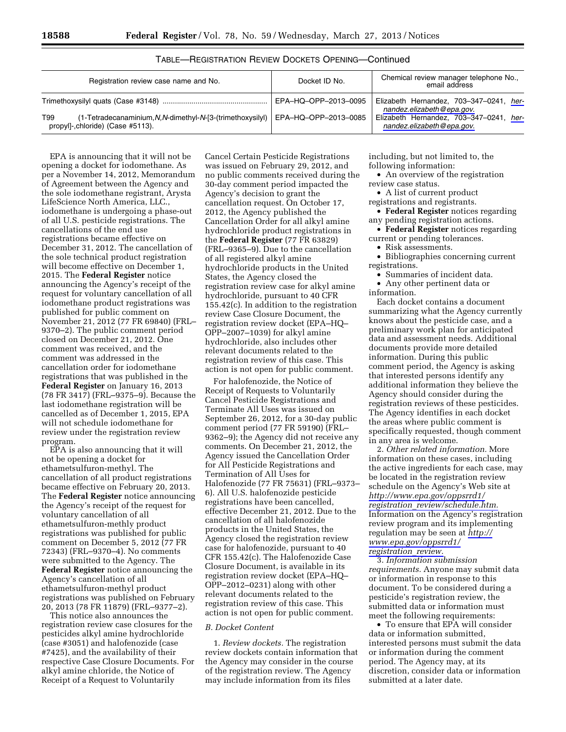| Registration review case name and No.                                                                 | Docket ID No.        | Chemical review manager telephone No.,<br>email address              |
|-------------------------------------------------------------------------------------------------------|----------------------|----------------------------------------------------------------------|
|                                                                                                       | EPA-HQ-OPP-2013-0095 | Elizabeth Hernandez, 703-347-0241, her-<br>nandez.elizabeth@epa.gov. |
| (1-Tetradecanaminium, N, N-dimethyl-N-[3-(trimethoxysilyl)<br>T99<br>propyl., chloride) (Case #5113). | EPA-HQ-OPP-2013-0085 | Elizabeth Hernandez, 703-347-0241, her-<br>nandez.elizabeth@epa.gov. |

## TABLE—REGISTRATION REVIEW DOCKETS OPENING—Continued

EPA is announcing that it will not be opening a docket for iodomethane. As per a November 14, 2012, Memorandum of Agreement between the Agency and the sole iodomethane registrant, Arysta LifeScience North America, LLC., iodomethane is undergoing a phase-out of all U.S. pesticide registrations. The cancellations of the end use registrations became effective on December 31, 2012. The cancellation of the sole technical product registration will become effective on December 1, 2015. The **Federal Register** notice announcing the Agency's receipt of the request for voluntary cancellation of all iodomethane product registrations was published for public comment on November 21, 2012 (77 FR 69840) (FRL– 9370–2). The public comment period closed on December 21, 2012. One comment was received, and the comment was addressed in the cancellation order for iodomethane registrations that was published in the **Federal Register** on January 16, 2013  $(78 FR 3417)$  (FRL–9375–9). Because the last iodomethane registration will be cancelled as of December 1, 2015, EPA will not schedule iodomethane for review under the registration review program.

EPA is also announcing that it will not be opening a docket for ethametsulfuron-methyl. The cancellation of all product registrations became effective on February 20, 2013. The **Federal Register** notice announcing the Agency's receipt of the request for voluntary cancellation of all ethametsulfuron-methly product registrations was published for public comment on December 5, 2012 (77 FR 72343) (FRL–9370–4). No comments were submitted to the Agency. The **Federal Register** notice announcing the Agency's cancellation of all ethametsulfuron-methyl product registrations was published on February 20, 2013 (78 FR 11879) (FRL–9377–2).

This notice also announces the registration review case closures for the pesticides alkyl amine hydrochloride (case #3051) and halofenozide (case #7425), and the availability of their respective Case Closure Documents. For alkyl amine chloride, the Notice of Receipt of a Request to Voluntarily

Cancel Certain Pesticide Registrations was issued on February 29, 2012, and no public comments received during the 30-day comment period impacted the Agency's decision to grant the cancellation request. On October 17, 2012, the Agency published the Cancellation Order for all alkyl amine hydrochloride product registrations in the **Federal Register** (77 FR 63829) (FRL–9365–9). Due to the cancellation of all registered alkyl amine hydrochloride products in the United States, the Agency closed the registration review case for alkyl amine hydrochloride, pursuant to 40 CFR 155.42(c). In addition to the registration review Case Closure Document, the registration review docket (EPA–HQ– OPP–2007–1039) for alkyl amine hydrochloride, also includes other relevant documents related to the registration review of this case. This action is not open for public comment.

For halofenozide, the Notice of Receipt of Requests to Voluntarily Cancel Pesticide Registrations and Terminate All Uses was issued on September 26, 2012, for a 30-day public comment period (77 FR 59190) (FRL– 9362–9); the Agency did not receive any comments. On December 21, 2012, the Agency issued the Cancellation Order for All Pesticide Registrations and Termination of All Uses for Halofenozide (77 FR 75631) (FRL–9373– 6). All U.S. halofenozide pesticide registrations have been cancelled, effective December 21, 2012. Due to the cancellation of all halofenozide products in the United States, the Agency closed the registration review case for halofenozide, pursuant to 40 CFR 155.42(c). The Halofenozide Case Closure Document, is available in its registration review docket (EPA–HQ– OPP–2012–0231) along with other relevant documents related to the registration review of this case. This action is not open for public comment.

### *B. Docket Content*

1. *Review dockets.* The registration review dockets contain information that the Agency may consider in the course of the registration review. The Agency may include information from its files

including, but not limited to, the following information:

• An overview of the registration review case status.

• A list of current product registrations and registrants.

• **Federal Register** notices regarding any pending registration actions.

• **Federal Register** notices regarding current or pending tolerances.

• Risk assessments.

• Bibliographies concerning current registrations.

• Summaries of incident data.

• Any other pertinent data or information.

Each docket contains a document summarizing what the Agency currently knows about the pesticide case, and a preliminary work plan for anticipated data and assessment needs. Additional documents provide more detailed information. During this public comment period, the Agency is asking that interested persons identify any additional information they believe the Agency should consider during the registration reviews of these pesticides. The Agency identifies in each docket the areas where public comment is specifically requested, though comment in any area is welcome.

2. *Other related information.* More information on these cases, including the active ingredients for each case, may be located in the registration review schedule on the Agency's Web site at *[http://www.epa.gov/oppsrrd1/](http://www.epa.gov/oppsrrd1/registration_review/schedule.htm)  registration*\_*[review/schedule.htm.](http://www.epa.gov/oppsrrd1/registration_review/schedule.htm)*  Information on the Agency's registration review program and its implementing regulation may be seen at *[http://](http://www.epa.gov/oppsrrd1/registration_review)  [www.epa.gov/oppsrrd1/](http://www.epa.gov/oppsrrd1/registration_review) [registration](http://www.epa.gov/oppsrrd1/registration_review)*\_*review.* 

3. *Information submission requirements.* Anyone may submit data or information in response to this document. To be considered during a pesticide's registration review, the submitted data or information must meet the following requirements:

• To ensure that EPA will consider data or information submitted, interested persons must submit the data or information during the comment period. The Agency may, at its discretion, consider data or information submitted at a later date.